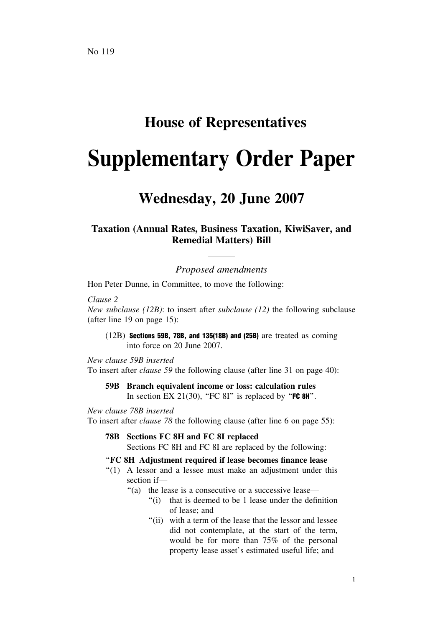## **House of Representatives**

# **Supplementary Order Paper**

## **Wednesday, 20 June 2007**

### **Taxation (Annual Rates, Business Taxation, KiwiSaver, and Remedial Matters) Bill**

*Proposed amendments*

Hon Peter Dunne, in Committee, to move the following:

*Clause 2*

*New subclause (12B)*: to insert after *subclause (12)* the following subclause (after line 19 on page 15):

(12B) Sections 59B, 78B, and 135(18B) and (25B) are treated as coming into force on 20 June 2007.

*New clause 59B inserted* To insert after *clause 59* the following clause (after line 31 on page 40):

#### **59B Branch equivalent income or loss: calculation rules** In section EX 21(30), "FC 8I" is replaced by " $FC 8H$ ".

*New clause 78B inserted*

To insert after *clause 78* the following clause (after line 6 on page 55):

**78B Sections FC 8H and FC 8I replaced**

Sections FC 8H and FC 8I are replaced by the following:

#### ''**FC 8H Adjustment required if lease becomes finance lease**

- "(1) A lessor and a lessee must make an adjustment under this section if—
	- "(a) the lease is a consecutive or a successive lease—
		- ''(i) that is deemed to be 1 lease under the definition of lease; and
		- ''(ii) with a term of the lease that the lessor and lessee did not contemplate, at the start of the term, would be for more than 75% of the personal property lease asset's estimated useful life; and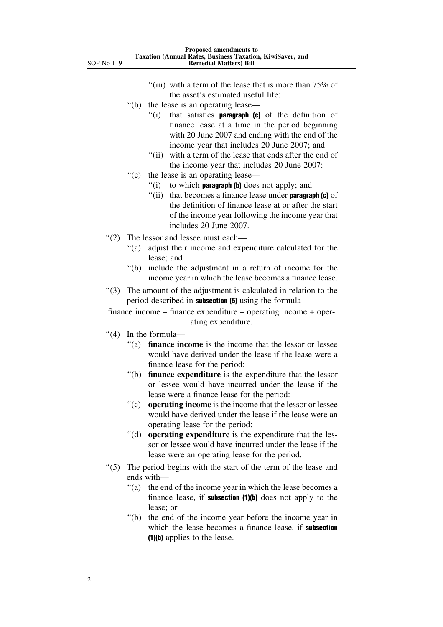- "(iii) with a term of the lease that is more than  $75\%$  of the asset's estimated useful life:
- ''(b) the lease is an operating lease—
	- $''(i)$  that satisfies **paragraph (c)** of the definition of finance lease at a time in the period beginning with 20 June 2007 and ending with the end of the income year that includes 20 June 2007; and
	- "(ii) with a term of the lease that ends after the end of the income year that includes 20 June 2007:
- ''(c) the lease is an operating lease—
	- "(i) to which **paragraph (b)** does not apply; and
	- $''(ii)$  that becomes a finance lease under **paragraph (c)** of the definition of finance lease at or after the start of the income year following the income year that includes 20 June 2007.
- ''(2) The lessor and lessee must each—
	- ''(a) adjust their income and expenditure calculated for the lease; and
	- ''(b) include the adjustment in a return of income for the income year in which the lease becomes a finance lease.
- ''(3) The amount of the adjustment is calculated in relation to the period described in subsection (5) using the formula—

finance income – finance expenditure – operating income + operating expenditure.

- ''(4) In the formula—
	- ''(a) **finance income** is the income that the lessor or lessee would have derived under the lease if the lease were a finance lease for the period:
	- ''(b) **finance expenditure** is the expenditure that the lessor or lessee would have incurred under the lease if the lease were a finance lease for the period:
	- ''(c) **operating income** is the income that the lessor or lessee would have derived under the lease if the lease were an operating lease for the period:
	- ''(d) **operating expenditure** is the expenditure that the lessor or lessee would have incurred under the lease if the lease were an operating lease for the period.
- "(5) The period begins with the start of the term of the lease and ends with—
	- "(a) the end of the income year in which the lease becomes a finance lease, if **subsection**  $(1)(b)$  does not apply to the lease; or
	- ''(b) the end of the income year before the income year in which the lease becomes a finance lease, if subsection (1)(b) applies to the lease.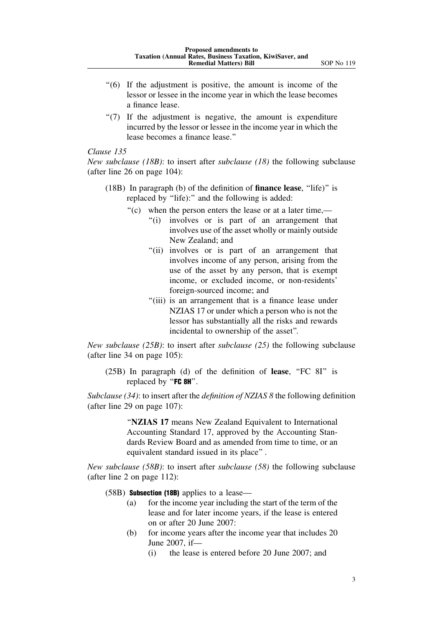- ''(6) If the adjustment is positive, the amount is income of the lessor or lessee in the income year in which the lease becomes a finance lease.
- $'(7)$  If the adjustment is negative, the amount is expenditure incurred by the lessor or lessee in the income year in which the lease becomes a finance lease.''

#### *Clause 135*

*New subclause (18B)*: to insert after *subclause (18)* the following subclause (after line 26 on page 104):

- (18B) In paragraph (b) of the definition of **finance lease**, ''life)'' is replaced by "life):" and the following is added:
	- ''(c) when the person enters the lease or at a later time,—
		- "(i) involves or is part of an arrangement that involves use of the asset wholly or mainly outside New Zealand; and
		- ''(ii) involves or is part of an arrangement that involves income of any person, arising from the use of the asset by any person, that is exempt income, or excluded income, or non-residents' foreign-sourced income; and
		- "(iii) is an arrangement that is a finance lease under NZIAS 17 or under which a person who is not the lessor has substantially all the risks and rewards incidental to ownership of the asset''.

*New subclause (25B)*: to insert after *subclause (25)* the following subclause (after line 34 on page 105):

(25B) In paragraph (d) of the definition of **lease**, ''FC 8I'' is replaced by "FC 8H".

*Subclause (34)*: to insert after the *definition of NZIAS 8* the following definition (after line 29 on page 107):

> ''**NZIAS 17** means New Zealand Equivalent to International Accounting Standard 17, approved by the Accounting Standards Review Board and as amended from time to time, or an equivalent standard issued in its place'' .

*New subclause (58B)*: to insert after *subclause (58)* the following subclause (after line 2 on page 112):

(58B) **Subsection (18B)** applies to a lease—

- (a) for the income year including the start of the term of the lease and for later income years, if the lease is entered on or after 20 June 2007:
- (b) for income years after the income year that includes 20 June 2007, if—
	- (i) the lease is entered before 20 June 2007; and